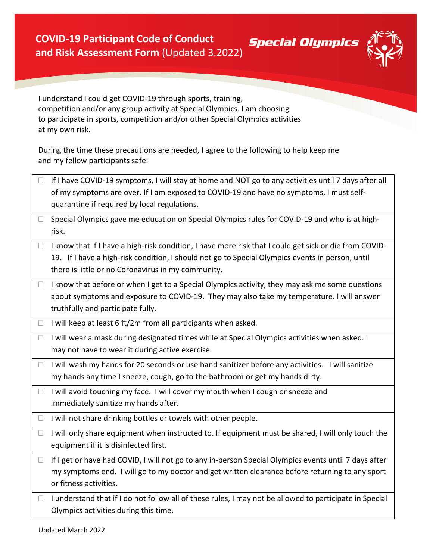

**Special Olympics** 

I understand I could get COVID-19 through sports, training, competition and/or any group activity at Special Olympics. I am choosing to participate in sports, competition and/or other Special Olympics activities at my own risk.

During the time these precautions are needed, I agree to the following to help keep me and my fellow participants safe:

| $\Box$ | If I have COVID-19 symptoms, I will stay at home and NOT go to any activities until 7 days after all<br>of my symptoms are over. If I am exposed to COVID-19 and have no symptoms, I must self-<br>quarantine if required by local regulations.                  |
|--------|------------------------------------------------------------------------------------------------------------------------------------------------------------------------------------------------------------------------------------------------------------------|
| $\Box$ | Special Olympics gave me education on Special Olympics rules for COVID-19 and who is at high-<br>risk.                                                                                                                                                           |
| $\Box$ | I know that if I have a high-risk condition, I have more risk that I could get sick or die from COVID-<br>19. If I have a high-risk condition, I should not go to Special Olympics events in person, until<br>there is little or no Coronavirus in my community. |
| $\Box$ | I know that before or when I get to a Special Olympics activity, they may ask me some questions<br>about symptoms and exposure to COVID-19. They may also take my temperature. I will answer<br>truthfully and participate fully.                                |
| u      | I will keep at least 6 ft/2m from all participants when asked.                                                                                                                                                                                                   |
| $\Box$ | I will wear a mask during designated times while at Special Olympics activities when asked. I<br>may not have to wear it during active exercise.                                                                                                                 |
| $\Box$ | I will wash my hands for 20 seconds or use hand sanitizer before any activities. I will sanitize<br>my hands any time I sneeze, cough, go to the bathroom or get my hands dirty.                                                                                 |
| $\Box$ | I will avoid touching my face. I will cover my mouth when I cough or sneeze and<br>immediately sanitize my hands after.                                                                                                                                          |
| u      | I will not share drinking bottles or towels with other people.                                                                                                                                                                                                   |
| $\Box$ | I will only share equipment when instructed to. If equipment must be shared, I will only touch the<br>equipment if it is disinfected first.                                                                                                                      |
| $\Box$ | If I get or have had COVID, I will not go to any in-person Special Olympics events until 7 days after<br>my symptoms end. I will go to my doctor and get written clearance before returning to any sport<br>or fitness activities.                               |
| $\Box$ | I understand that if I do not follow all of these rules, I may not be allowed to participate in Special<br>Olympics activities during this time.                                                                                                                 |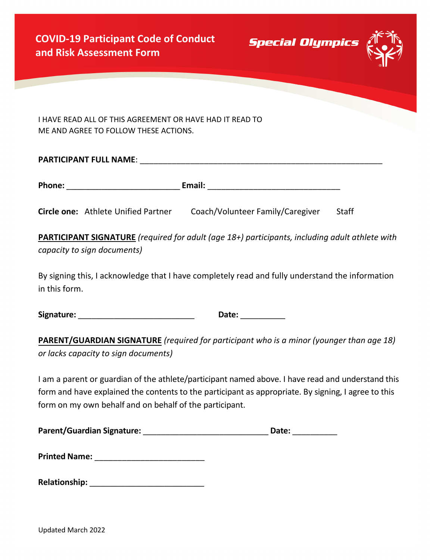**Special Olympics** 



I HAVE READ ALL OF THIS AGREEMENT OR HAVE HAD IT READ TO ME AND AGREE TO FOLLOW THESE ACTIONS.

| <b>PARTICIPANT FULL NAME:</b> |        |  |  |  |
|-------------------------------|--------|--|--|--|
|                               |        |  |  |  |
| Phone:                        | Email: |  |  |  |

**Circle one:** Athlete Unified Partner Coach/Volunteer Family/Caregiver Staff

**PARTICIPANT SIGNATURE** *(required for adult (age 18+) participants, including adult athlete with capacity to sign documents)*

By signing this, I acknowledge that I have completely read and fully understand the information in this form.

**Signature:** \_\_\_\_\_\_\_\_\_\_\_\_\_\_\_\_\_\_\_\_\_\_\_\_\_\_ **Date:** \_\_\_\_\_\_\_\_\_\_

**PARENT/GUARDIAN SIGNATURE** *(required for participant who is a minor (younger than age 18) or lacks capacity to sign documents)*

I am a parent or guardian of the athlete/participant named above. I have read and understand this form and have explained the contents to the participant as appropriate. By signing, I agree to this form on my own behalf and on behalf of the participant.

| <b>Parent/Guardian Signature:</b> | Date: |
|-----------------------------------|-------|
|-----------------------------------|-------|

| <b>Printed Name:</b> |  |
|----------------------|--|
|                      |  |

| <b>Relationship:</b> |
|----------------------|
|----------------------|

Updated March 2022